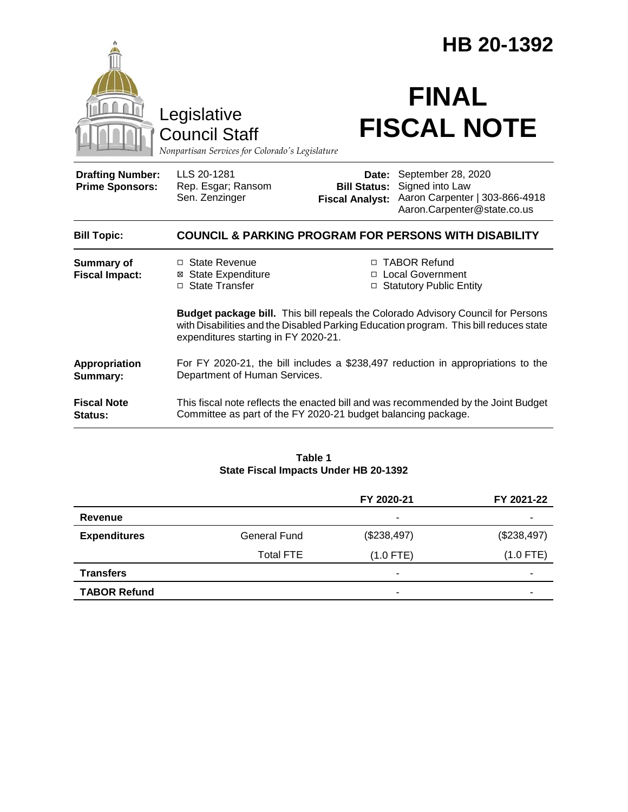|                                                                                        |                                                                                                                                                                                                                          | HB 20-1392                                    |                                                                                                              |  |
|----------------------------------------------------------------------------------------|--------------------------------------------------------------------------------------------------------------------------------------------------------------------------------------------------------------------------|-----------------------------------------------|--------------------------------------------------------------------------------------------------------------|--|
| Legislative<br><b>Council Staff</b><br>Nonpartisan Services for Colorado's Legislature |                                                                                                                                                                                                                          | <b>FINAL</b><br><b>FISCAL NOTE</b>            |                                                                                                              |  |
| <b>Drafting Number:</b><br><b>Prime Sponsors:</b>                                      | LLS 20-1281<br>Rep. Esgar; Ransom<br>Sen. Zenzinger                                                                                                                                                                      | <b>Bill Status:</b><br><b>Fiscal Analyst:</b> | Date: September 28, 2020<br>Signed into Law<br>Aaron Carpenter   303-866-4918<br>Aaron.Carpenter@state.co.us |  |
| <b>Bill Topic:</b>                                                                     | <b>COUNCIL &amp; PARKING PROGRAM FOR PERSONS WITH DISABILITY</b>                                                                                                                                                         |                                               |                                                                                                              |  |
| <b>Summary of</b><br><b>Fiscal Impact:</b>                                             | □ State Revenue<br><b>State Expenditure</b><br>⊠<br>□ State Transfer                                                                                                                                                     | $\Box$                                        | □ TABOR Refund<br><b>Local Government</b><br>□ Statutory Public Entity                                       |  |
|                                                                                        | <b>Budget package bill.</b> This bill repeals the Colorado Advisory Council for Persons<br>with Disabilities and the Disabled Parking Education program. This bill reduces state<br>expenditures starting in FY 2020-21. |                                               |                                                                                                              |  |
| Appropriation<br>Summary:                                                              | For FY 2020-21, the bill includes a \$238,497 reduction in appropriations to the<br>Department of Human Services.                                                                                                        |                                               |                                                                                                              |  |
| <b>Fiscal Note</b><br>Status:                                                          | This fiscal note reflects the enacted bill and was recommended by the Joint Budget<br>Committee as part of the FY 2020-21 budget balancing package.                                                                      |                                               |                                                                                                              |  |

### **Table 1 State Fiscal Impacts Under HB 20-1392**

|                     |                     | FY 2020-21  | FY 2021-22  |
|---------------------|---------------------|-------------|-------------|
| Revenue             |                     | ۰           | ۰           |
| <b>Expenditures</b> | <b>General Fund</b> | (\$238,497) | (\$238,497) |
|                     | <b>Total FTE</b>    | $(1.0$ FTE) | $(1.0$ FTE) |
| <b>Transfers</b>    |                     | ٠           | -           |
| <b>TABOR Refund</b> |                     | ۰           | -           |